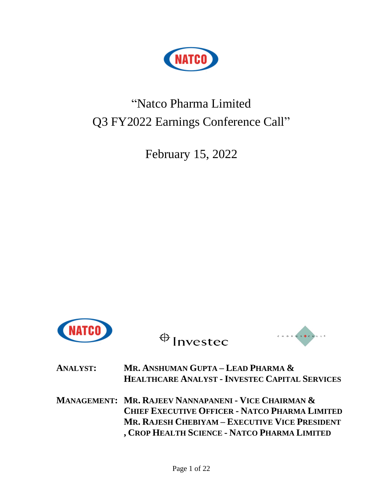

# "Natco Pharma Limited Q3 FY2022 Earnings Conference Call"

February 15, 2022



 $\bigoplus$  Investec



**ANALYST: MR. ANSHUMAN GUPTA – LEAD PHARMA & HEALTHCARE ANALYST - INVESTEC CAPITAL SERVICES**

**MANAGEMENT: MR. RAJEEV NANNAPANENI - VICE CHAIRMAN & CHIEF EXECUTIVE OFFICER - NATCO PHARMA LIMITED MR. RAJESH CHEBIYAM – EXECUTIVE VICE PRESIDENT , CROP HEALTH SCIENCE - NATCO PHARMA LIMITED**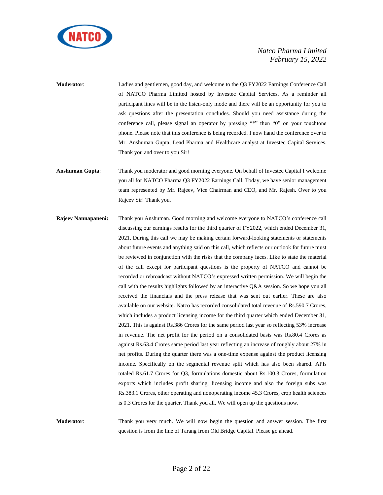

**Moderator**: Ladies and gentlemen, good day, and welcome to the Q3 FY2022 Earnings Conference Call of NATCO Pharma Limited hosted by Investec Capital Services. As a reminder all participant lines will be in the listen-only mode and there will be an opportunity for you to ask questions after the presentation concludes. Should you need assistance during the conference call, please signal an operator by pressing "\*" then "0" on your touchtone phone. Please note that this conference is being recorded. I now hand the conference over to Mr. Anshuman Gupta, Lead Pharma and Healthcare analyst at Investec Capital Services. Thank you and over to you Sir!

**Anshuman Gupta**: Thank you moderator and good morning everyone. On behalf of Investec Capital I welcome you all for NATCO Pharma Q3 FY2022 Earnings Call. Today, we have senior management team represented by Mr. Rajeev, Vice Chairman and CEO, and Mr. Rajesh. Over to you Rajeev Sir! Thank you.

**Rajeev Nannapaneni:** Thank you Anshuman. Good morning and welcome everyone to NATCO's conference call discussing our earnings results for the third quarter of FY2022, which ended December 31, 2021. During this call we may be making certain forward-looking statements or statements about future events and anything said on this call, which reflects our outlook for future must be reviewed in conjunction with the risks that the company faces. Like to state the material of the call except for participant questions is the property of NATCO and cannot be recorded or rebroadcast without NATCO's expressed written permission. We will begin the call with the results highlights followed by an interactive Q&A session. So we hope you all received the financials and the press release that was sent out earlier. These are also available on our website. Natco has recorded consolidated total revenue of Rs.590.7 Crores, which includes a product licensing income for the third quarter which ended December 31, 2021. This is against Rs.386 Crores for the same period last year so reflecting 53% increase in revenue. The net profit for the period on a consolidated basis was Rs.80.4 Crores as against Rs.63.4 Crores same period last year reflecting an increase of roughly about 27% in net profits. During the quarter there was a one-time expense against the product licensing income. Specifically on the segmental revenue split which has also been shared. APIs totaled Rs.61.7 Crores for Q3, formulations domestic about Rs.100.3 Crores, formulation exports which includes profit sharing, licensing income and also the foreign subs was Rs.383.1 Crores, other operating and nonoperating income 45.3 Crores, crop health sciences is 0.3 Crores for the quarter. Thank you all. We will open up the questions now.

**Moderator**: Thank you very much. We will now begin the question and answer session. The first question is from the line of Tarang from Old Bridge Capital. Please go ahead.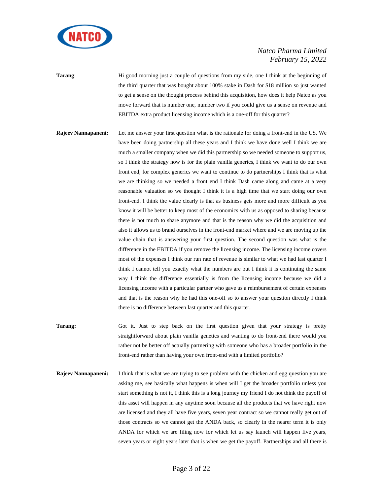

**Tarang:** Hi good morning just a couple of questions from my side, one I think at the beginning of the third quarter that was bought about 100% stake in Dash for \$18 million so just wanted to get a sense on the thought process behind this acquisition, how does it help Natco as you move forward that is number one, number two if you could give us a sense on revenue and EBITDA extra product licensing income which is a one-off for this quarter?

- **Rajeev Nannapaneni:** Let me answer your first question what is the rationale for doing a front-end in the US. We have been doing partnership all these years and I think we have done well I think we are much a smaller company when we did this partnership so we needed someone to support us, so I think the strategy now is for the plain vanilla generics, I think we want to do our own front end, for complex generics we want to continue to do partnerships I think that is what we are thinking so we needed a front end I think Dash came along and came at a very reasonable valuation so we thought I think it is a high time that we start doing our own front-end. I think the value clearly is that as business gets more and more difficult as you know it will be better to keep most of the economics with us as opposed to sharing because there is not much to share anymore and that is the reason why we did the acquisition and also it allows us to brand ourselves in the front-end market where and we are moving up the value chain that is answering your first question. The second question was what is the difference in the EBITDA if you remove the licensing income. The licensing income covers most of the expenses I think our run rate of revenue is similar to what we had last quarter I think I cannot tell you exactly what the numbers are but I think it is continuing the same way I think the difference essentially is from the licensing income because we did a licensing income with a particular partner who gave us a reimbursement of certain expenses and that is the reason why he had this one-off so to answer your question directly I think there is no difference between last quarter and this quarter.
- **Tarang:** Got it. Just to step back on the first question given that your strategy is pretty straightforward about plain vanilla genetics and wanting to do front-end there would you rather not be better off actually partnering with someone who has a broader portfolio in the front-end rather than having your own front-end with a limited portfolio?
- **Rajeev Nannapaneni:** I think that is what we are trying to see problem with the chicken and egg question you are asking me, see basically what happens is when will I get the broader portfolio unless you start something is not it, I think this is a long journey my friend I do not think the payoff of this asset will happen in any anytime soon because all the products that we have right now are licensed and they all have five years, seven year contract so we cannot really get out of those contracts so we cannot get the ANDA back, so clearly in the nearer term it is only ANDA for which we are filing now for which let us say launch will happen five years, seven years or eight years later that is when we get the payoff. Partnerships and all there is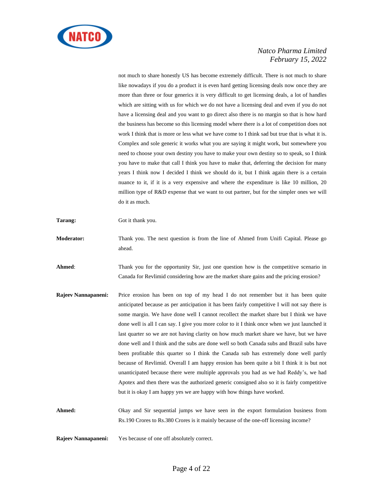

not much to share honestly US has become extremely difficult. There is not much to share like nowadays if you do a product it is even hard getting licensing deals now once they are more than three or four generics it is very difficult to get licensing deals, a lot of handles which are sitting with us for which we do not have a licensing deal and even if you do not have a licensing deal and you want to go direct also there is no margin so that is how hard the business has become so this licensing model where there is a lot of competition does not work I think that is more or less what we have come to I think sad but true that is what it is. Complex and sole generic it works what you are saying it might work, but somewhere you need to choose your own destiny you have to make your own destiny so to speak, so I think you have to make that call I think you have to make that, deferring the decision for many years I think now I decided I think we should do it, but I think again there is a certain nuance to it, if it is a very expensive and where the expenditure is like 10 million, 20 million type of R&D expense that we want to out partner, but for the simpler ones we will do it as much.

**Tarang:** Got it thank you.

**Moderator:** Thank you. The next question is from the line of Ahmed from Unifi Capital. Please go ahead.

**Ahmed:** Thank you for the opportunity Sir, just one question how is the competitive scenario in Canada for Revlimid considering how are the market share gains and the pricing erosion?

**Rajeev Nannapaneni:** Price erosion has been on top of my head I do not remember but it has been quite anticipated because as per anticipation it has been fairly competitive I will not say there is some margin. We have done well I cannot recollect the market share but I think we have done well is all I can say. I give you more color to it I think once when we just launched it last quarter so we are not having clarity on how much market share we have, but we have done well and I think and the subs are done well so both Canada subs and Brazil subs have been profitable this quarter so I think the Canada sub has extremely done well partly because of Revlimid. Overall I am happy erosion has been quite a bit I think it is but not unanticipated because there were multiple approvals you had as we had Reddy's, we had Apotex and then there was the authorized generic consigned also so it is fairly competitive but it is okay I am happy yes we are happy with how things have worked.

**Ahmed:** Okay and Sir sequential jumps we have seen in the export formulation business from Rs.190 Crores to Rs.380 Crores is it mainly because of the one-off licensing income?

**Rajeev Nannapaneni:** Yes because of one off absolutely correct.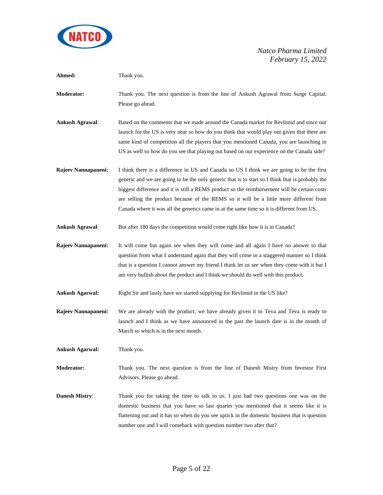

| Ahmed:                 | Thank you.                                                                                                                                                                                                                                                                                                                                                                                                                                                                           |
|------------------------|--------------------------------------------------------------------------------------------------------------------------------------------------------------------------------------------------------------------------------------------------------------------------------------------------------------------------------------------------------------------------------------------------------------------------------------------------------------------------------------|
| Moderator:             | Thank you. The next question is from the line of Ankush Agrawal from Surge Capital.<br>Please go ahead.                                                                                                                                                                                                                                                                                                                                                                              |
| <b>Ankush Agrawal:</b> | Based on the comments that we made around the Canada market for Revlimid and since our<br>launch for the US is very near so how do you think that would play out given that there are<br>same kind of competition all the players that you mentioned Canada, you are launching in<br>US as well so how do you see that playing out based on our experience on the Canada side?                                                                                                       |
| Rajeev Nannapaneni:    | I think there is a difference in US and Canada so US I think we are going to be the first<br>generic and we are going to be the only generic that is to start so I think that is probably the<br>biggest difference and it is still a REMS product so the reimbursement will be certain costs<br>are selling the product because of the REMS so it will be a little more different from<br>Canada where it was all the generics came in at the same time so it is different from US. |
| <b>Ankush Agrawal:</b> | But after 180 days the competition would come right like how it is in Canada?                                                                                                                                                                                                                                                                                                                                                                                                        |
| Rajeev Nannapaneni:    | It will come but again see when they will come and all again I have no answer to that<br>question from what I understand again that they will come in a staggered manner so I think<br>that is a question I cannot answer my friend I think let us see when they come with it but I<br>am very bullish about the product and I think we should do well with this product.                                                                                                            |
| <b>Ankush Agarwal:</b> | Right Sir and lastly have we started supplying for Revlimid in the US like?                                                                                                                                                                                                                                                                                                                                                                                                          |
| Rajeev Nannapaneni:    | We are already with the product; we have already given it to Teva and Teva is ready to<br>launch and I think as we have announced in the past the launch date is in the month of<br>March so which is in the next month.                                                                                                                                                                                                                                                             |
| <b>Ankush Agarwal:</b> | Thank you.                                                                                                                                                                                                                                                                                                                                                                                                                                                                           |
| <b>Moderator:</b>      | Thank you. The next question is from the line of Danesh Mistry from Investor First<br>Advisors. Please go ahead.                                                                                                                                                                                                                                                                                                                                                                     |
| <b>Danesh Mistry:</b>  | Thank you for taking the time to talk to us. I just had two questions one was on the<br>domestic business that you have so last quarter you mentioned that it seems like it is<br>flattening out and it has so when do you see uptick in the domestic business that is question<br>number one and I will comeback with question number two after that?                                                                                                                               |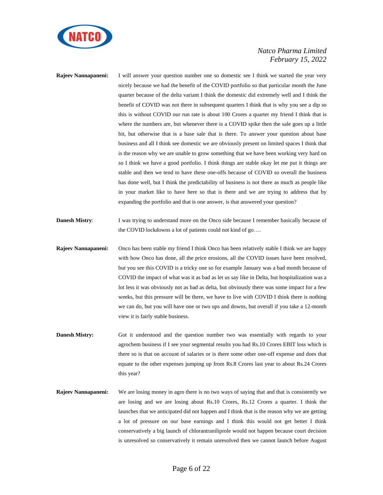

- **Rajeev Nannapaneni:** I will answer your question number one so domestic see I think we started the year very nicely because we had the benefit of the COVID portfolio so that particular month the June quarter because of the delta variant I think the domestic did extremely well and I think the benefit of COVID was not there in subsequent quarters I think that is why you see a dip so this is without COVID our run rate is about 100 Crores a quarter my friend I think that is where the numbers are, but whenever there is a COVID spike then the sale goes up a little bit, but otherwise that is a base sale that is there. To answer your question about base business and all I think see domestic we are obviously present on limited spaces I think that is the reason why we are unable to grow something that we have been working very hard on so I think we have a good portfolio. I think things are stable okay let me put it things are stable and then we tend to have these one-offs because of COVID so overall the business has done well, but I think the predictability of business is not there as much as people like in your market like to have here so that is there and we are trying to address that by expanding the portfolio and that is one answer, is that answered your question?
- **Danesh Mistry:** I was trying to understand more on the Onco side because I remember basically because of the COVID lockdowns a lot of patients could not kind of go….
- **Rajeev Nannapaneni:** Onco has been stable my friend I think Onco has been relatively stable I think we are happy with how Onco has done, all the price erosions, all the COVID issues have been resolved, but you see this COVID is a tricky one so for example January was a bad month because of COVID the impact of what was it as bad as let us say like in Delta, but hospitalization was a lot less it was obviously not as bad as delta, but obviously there was some impact for a few weeks, but this pressure will be there, we have to live with COVID I think there is nothing we can do, but you will have one or two ups and downs, but overall if you take a 12-month view it is fairly stable business.
- **Danesh Mistry:** Got it understood and the question number two was essentially with regards to your agrochem business if I see your segmental results you had Rs.10 Crores EBIT loss which is there so is that on account of salaries or is there some other one-off expense and does that equate to the other expenses jumping up from Rs.8 Crores last year to about Rs.24 Crores this year?
- **Rajeev Nannapaneni:** We are losing money in agro there is no two ways of saying that and that is consistently we are losing and we are losing about Rs.10 Crores, Rs.12 Crores a quarter. I think the launches that we anticipated did not happen and I think that is the reason why we are getting a lot of pressure on our base earnings and I think this would not get better I think conservatively a big launch of chlorantraniliprole would not happen because court decision is unresolved so conservatively it remain unresolved then we cannot launch before August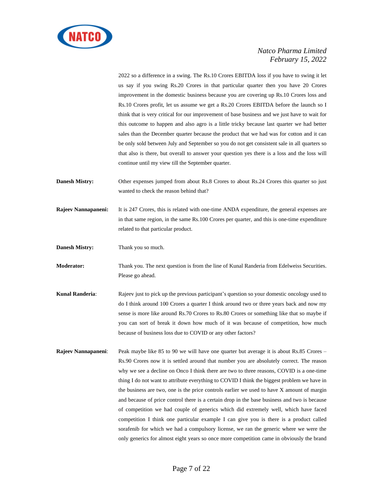

2022 so a difference in a swing. The Rs.10 Crores EBITDA loss if you have to swing it let us say if you swing Rs.20 Crores in that particular quarter then you have 20 Crores improvement in the domestic business because you are covering up Rs.10 Crores loss and Rs.10 Crores profit, let us assume we get a Rs.20 Crores EBITDA before the launch so I think that is very critical for our improvement of base business and we just have to wait for this outcome to happen and also agro is a little tricky because last quarter we had better sales than the December quarter because the product that we had was for cotton and it can be only sold between July and September so you do not get consistent sale in all quarters so that also is there, but overall to answer your question yes there is a loss and the loss will continue until my view till the September quarter.

- **Danesh Mistry:** Other expenses jumped from about Rs.8 Crores to about Rs.24 Crores this quarter so just wanted to check the reason behind that?
- **Rajeev Nannapaneni:** It is 247 Crores, this is related with one-time ANDA expenditure, the general expenses are in that same region, in the same Rs.100 Crores per quarter, and this is one-time expenditure related to that particular product.
- **Danesh Mistry:** Thank you so much.
- **Moderator:** Thank you. The next question is from the line of Kunal Randeria from Edelweiss Securities. Please go ahead.
- **Kunal Randeria:** Rajeev just to pick up the previous participant's question so your domestic oncology used to do I think around 100 Crores a quarter I think around two or three years back and now my sense is more like around Rs.70 Crores to Rs.80 Crores or something like that so maybe if you can sort of break it down how much of it was because of competition, how much because of business loss due to COVID or any other factors?
- **Rajeev Nannapaneni:** Peak maybe like 85 to 90 we will have one quarter but average it is about Rs.85 Crores Rs.90 Crores now it is settled around that number you are absolutely correct. The reason why we see a decline on Onco I think there are two to three reasons, COVID is a one-time thing I do not want to attribute everything to COVID I think the biggest problem we have in the business are two, one is the price controls earlier we used to have X amount of margin and because of price control there is a certain drop in the base business and two is because of competition we had couple of generics which did extremely well, which have faced competition I think one particular example I can give you is there is a product called sorafenib for which we had a compulsory license, we ran the generic where we were the only generics for almost eight years so once more competition came in obviously the brand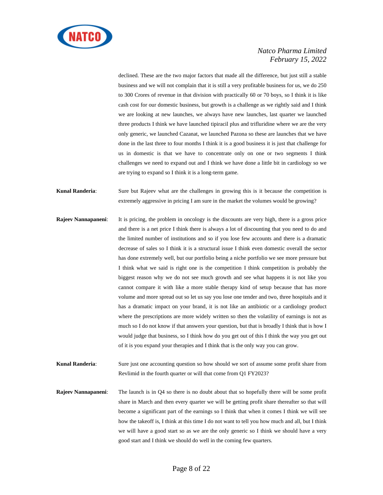

declined. These are the two major factors that made all the difference, but just still a stable business and we will not complain that it is still a very profitable business for us, we do 250 to 300 Crores of revenue in that division with practically 60 or 70 boys, so I think it is like cash cost for our domestic business, but growth is a challenge as we rightly said and I think we are looking at new launches, we always have new launches, last quarter we launched three products I think we have launched tipiracil plus and trifluridine where we are the very only generic, we launched Cazanat, we launched Pazona so these are launches that we have done in the last three to four months I think it is a good business it is just that challenge for us in domestic is that we have to concentrate only on one or two segments I think challenges we need to expand out and I think we have done a little bit in cardiology so we are trying to expand so I think it is a long-term game.

- **Kunal Randeria**: Sure but Rajeev what are the challenges in growing this is it because the competition is extremely aggressive in pricing I am sure in the market the volumes would be growing?
- **Rajeev Nannapaneni:** It is pricing, the problem in oncology is the discounts are very high, there is a gross price and there is a net price I think there is always a lot of discounting that you need to do and the limited number of institutions and so if you lose few accounts and there is a dramatic decrease of sales so I think it is a structural issue I think even domestic overall the sector has done extremely well, but our portfolio being a niche portfolio we see more pressure but I think what we said is right one is the competition I think competition is probably the biggest reason why we do not see much growth and see what happens it is not like you cannot compare it with like a more stable therapy kind of setup because that has more volume and more spread out so let us say you lose one tender and two, three hospitals and it has a dramatic impact on your brand, it is not like an antibiotic or a cardiology product where the prescriptions are more widely written so then the volatility of earnings is not as much so I do not know if that answers your question, but that is broadly I think that is how I would judge that business, so I think how do you get out of this I think the way you get out of it is you expand your therapies and I think that is the only way you can grow.
- **Kunal Randeria:** Sure just one accounting question so how should we sort of assume some profit share from Revlimid in the fourth quarter or will that come from Q1 FY2023?
- **Rajeev Nannapaneni**: The launch is in Q4 so there is no doubt about that so hopefully there will be some profit share in March and then every quarter we will be getting profit share thereafter so that will become a significant part of the earnings so I think that when it comes I think we will see how the takeoff is, I think at this time I do not want to tell you how much and all, but I think we will have a good start so as we are the only generic so I think we should have a very good start and I think we should do well in the coming few quarters.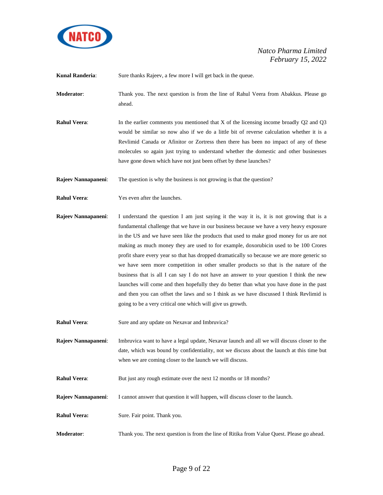

**Kunal Randeria:** Sure thanks Rajeev, a few more I will get back in the queue.

**Moderator**: Thank you. The next question is from the line of Rahul Veera from Abakkus. Please go ahead.

**Rahul Veera:** In the earlier comments you mentioned that X of the licensing income broadly Q2 and Q3 would be similar so now also if we do a little bit of reverse calculation whether it is a Revlimid Canada or Afinitor or Zortress then there has been no impact of any of these molecules so again just trying to understand whether the domestic and other businesses have gone down which have not just been offset by these launches?

**Rajeev Nannapaneni:** The question is why the business is not growing is that the question?

- **Rahul Veera:** Yes even after the launches.
- **Rajeev Nannapaneni:** I understand the question I am just saying it the way it is, it is not growing that is a fundamental challenge that we have in our business because we have a very heavy exposure in the US and we have seen like the products that used to make good money for us are not making as much money they are used to for example, doxorubicin used to be 100 Crores profit share every year so that has dropped dramatically so because we are more generic so we have seen more competition in other smaller products so that is the nature of the business that is all I can say I do not have an answer to your question I think the new launches will come and then hopefully they do better than what you have done in the past and then you can offset the laws and so I think as we have discussed I think Revlimid is going to be a very critical one which will give us growth.
- **Rahul Veera:** Sure and any update on Nexavar and Imbruvica?
- **Rajeev Nannapaneni**: Imbruvica want to have a legal update, Nexavar launch and all we will discuss closer to the date, which was bound by confidentiality, not we discuss about the launch at this time but when we are coming closer to the launch we will discuss.
- **Rahul Veera:** But just any rough estimate over the next 12 months or 18 months?
- **Rajeev Nannapaneni**: I cannot answer that question it will happen, will discuss closer to the launch.
- **Rahul Veera:** Sure. Fair point. Thank you.
- **Moderator**: Thank you. The next question is from the line of Ritika from Value Quest. Please go ahead.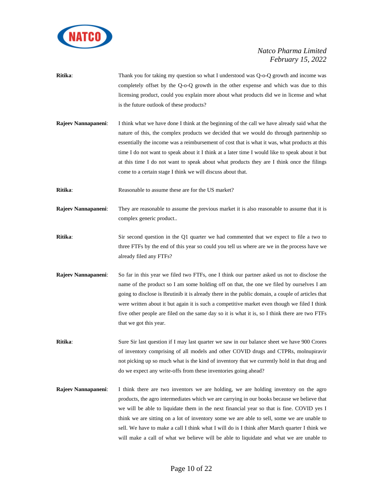

- **Ritika**: Thank you for taking my question so what I understood was Q-o-Q growth and income was completely offset by the Q-o-Q growth in the other expense and which was due to this licensing product, could you explain more about what products did we in license and what is the future outlook of these products?
- **Rajeev Nannapaneni**: I think what we have done I think at the beginning of the call we have already said what the nature of this, the complex products we decided that we would do through partnership so essentially the income was a reimbursement of cost that is what it was, what products at this time I do not want to speak about it I think at a later time I would like to speak about it but at this time I do not want to speak about what products they are I think once the filings come to a certain stage I think we will discuss about that.
- **Ritika:** Reasonable to assume these are for the US market?
- **Rajeev Nannapaneni**: They are reasonable to assume the previous market it is also reasonable to assume that it is complex generic product..
- **Ritika**: Sir second question in the Q1 quarter we had commented that we expect to file a two to three FTFs by the end of this year so could you tell us where are we in the process have we already filed any FTFs?
- **Rajeev Nannapaneni**: So far in this year we filed two FTFs, one I think our partner asked us not to disclose the name of the product so I am some holding off on that, the one we filed by ourselves I am going to disclose is Ibrutinib it is already there in the public domain, a couple of articles that were written about it but again it is such a competitive market even though we filed I think five other people are filed on the same day so it is what it is, so I think there are two FTFs that we got this year.

**Ritika**: Sure Sir last question if I may last quarter we saw in our balance sheet we have 900 Crores of inventory comprising of all models and other COVID drugs and CTPRs, molnupiravir not picking up so much what is the kind of inventory that we currently hold in that drug and do we expect any write-offs from these inventories going ahead?

**Rajeev Nannapaneni**: I think there are two inventors we are holding, we are holding inventory on the agro products, the agro intermediates which we are carrying in our books because we believe that we will be able to liquidate them in the next financial year so that is fine. COVID yes I think we are sitting on a lot of inventory some we are able to sell, some we are unable to sell. We have to make a call I think what I will do is I think after March quarter I think we will make a call of what we believe will be able to liquidate and what we are unable to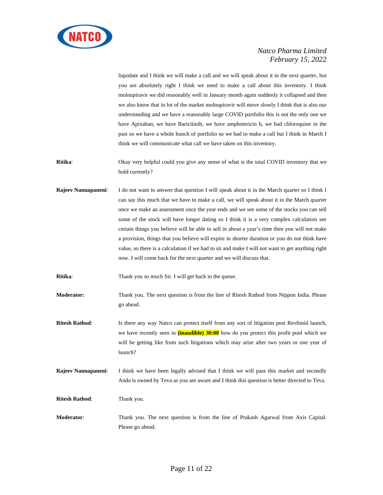

liquidate and I think we will make a call and we will speak about it in the next quarter, but you are absolutely right I think we need to make a call about this inventory. I think molnupiravir we did reasonably well in January month again suddenly it collapsed and then we also know that in lot of the market molnupiravir will move slowly I think that is also our understanding and we have a reasonably large COVID portfolio this is not the only one we have Apixaban, we have Baricitinib, we have amphotericin b, we had chloroquine in the past so we have a whole bunch of portfolio so we had to make a call but I think in March I think we will communicate what call we have taken on this inventory.

**Ritika**: Okay very helpful could you give any sense of what is the total COVID inventory that we hold currently?

**Rajeev Nannapaneni**: I do not want to answer that question I will speak about it in the March quarter so I think I can say this much that we have to make a call, we will speak about it in the March quarter once we make an assessment once the year ends and we see some of the stocks you can sell some of the stock will have longer dating so I think it is a very complex calculation see certain things you believe will be able to sell in about a year's time then you will not make a provision, things that you believe will expire in shorter duration or you do not think have value, so there is a calculation if we had to sit and make I will not want to get anything right now. I will come back for the next quarter and we will discuss that.

**Ritika**: Thank you so much Sir. I will get back in the queue.

**Moderator:** Thank you. The next question is from the line of Ritesh Rathod from Nippon India. Please go ahead.

**Ritesh Rathod**: Is there any way Natco can protect itself from any sort of litigation post Revlimid launch, we have recently seen in **(inaudible) 30:08** how do you protect this profit pool which we will be getting like from such litigations which may arise after two years or one year of launch?

**Rajeev Nannapaneni:** I think we have been legally advised that I think we will pass this market and secondly Anda is owned by Teva as you are aware and I think this question is better directed to Teva.

**Ritesh Rathod**: Thank you.

**Moderator**: Thank you. The next question is from the line of Prakash Agarwal from Axis Capital. Please go ahead.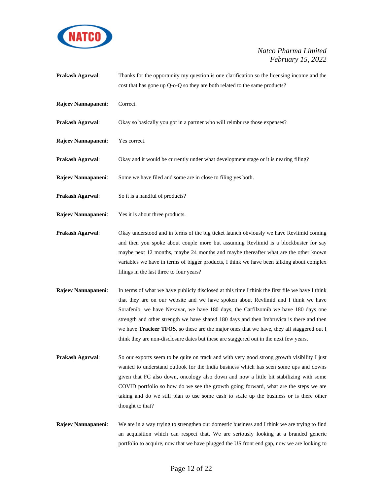

- **Prakash Agarwal:** Thanks for the opportunity my question is one clarification so the licensing income and the cost that has gone up Q-o-Q so they are both related to the same products?
- **Rajeev Nannapaneni**: Correct.
- **Prakash Agarwal:** Okay so basically you got in a partner who will reimburse those expenses?
- **Rajeev Nannapaneni**: Yes correct.
- **Prakash Agarwal**: Okay and it would be currently under what development stage or it is nearing filing?
- **Rajeev Nannapaneni**: Some we have filed and some are in close to filing yes both.
- **Prakash Agarwal:** So it is a handful of products?
- **Rajeev Nannapaneni**: Yes it is about three products.
- **Prakash Agarwal**: Okay understood and in terms of the big ticket launch obviously we have Revlimid coming and then you spoke about couple more but assuming Revlimid is a blockbuster for say maybe next 12 months, maybe 24 months and maybe thereafter what are the other known variables we have in terms of bigger products, I think we have been talking about complex filings in the last three to four years?
- **Rajeev Nannapaneni**: In terms of what we have publicly disclosed at this time I think the first file we have I think that they are on our website and we have spoken about Revlimid and I think we have Sorafenib, we have Nexavar, we have 180 days, the Carfilzomib we have 180 days one strength and other strength we have shared 180 days and then Imbruvica is there and then we have **Tracleer TFOS**, so these are the major ones that we have, they all staggered out I think they are non-disclosure dates but these are staggered out in the next few years.
- **Prakash Agarwal:** So our exports seem to be quite on track and with very good strong growth visibility I just wanted to understand outlook for the India business which has seen some ups and downs given that FC also down, oncology also down and now a little bit stabilizing with some COVID portfolio so how do we see the growth going forward, what are the steps we are taking and do we still plan to use some cash to scale up the business or is there other thought to that?
- **Rajeev Nannapaneni**: We are in a way trying to strengthen our domestic business and I think we are trying to find an acquisition which can respect that. We are seriously looking at a branded generic portfolio to acquire, now that we have plugged the US front end gap, now we are looking to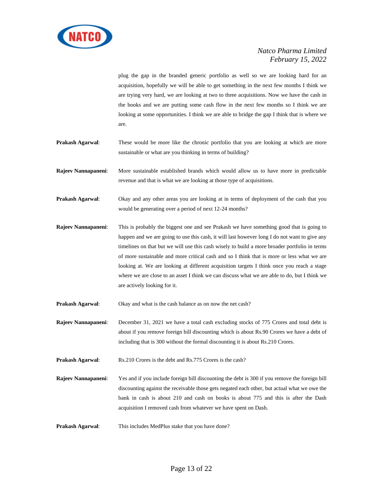

plug the gap in the branded generic portfolio as well so we are looking hard for an acquisition, hopefully we will be able to get something in the next few months I think we are trying very hard, we are looking at two to three acquisitions. Now we have the cash in the books and we are putting some cash flow in the next few months so I think we are looking at some opportunities. I think we are able to bridge the gap I think that is where we are.

- **Prakash Agarwal**: These would be more like the chronic portfolio that you are looking at which are more sustainable or what are you thinking in terms of building?
- **Rajeev Nannapaneni**: More sustainable established brands which would allow us to have more in predictable revenue and that is what we are looking at those type of acquisitions.
- **Prakash Agarwal**: Okay and any other areas you are looking at in terms of deployment of the cash that you would be generating over a period of next 12-24 months?
- **Rajeev Nannapaneni**: This is probably the biggest one and see Prakash we have something good that is going to happen and we are going to use this cash, it will last however long I do not want to give any timelines on that but we will use this cash wisely to build a more broader portfolio in terms of more sustainable and more critical cash and so I think that is more or less what we are looking at. We are looking at different acquisition targets I think once you reach a stage where we are close to an asset I think we can discuss what we are able to do, but I think we are actively looking for it.

**Prakash Agarwal:** Okay and what is the cash balance as on now the net cash?

**Rajeev Nannapaneni**: December 31, 2021 we have a total cash excluding stocks of 775 Crores and total debt is about if you remove foreign bill discounting which is about Rs.90 Crores we have a debt of including that is 300 without the formal discounting it is about Rs.210 Crores.

**Prakash Agarwal:** Rs.210 Crores is the debt and Rs.775 Crores is the cash?

- **Rajeev Nannapaneni**: Yes and if you include foreign bill discounting the debt is 300 if you remove the foreign bill discounting against the receivable those gets negated each other, but actual what we owe the bank in cash is about 210 and cash on books is about 775 and this is after the Dash acquisition I removed cash from whatever we have spent on Dash.
- **Prakash Agarwal**: This includes MedPlus stake that you have done?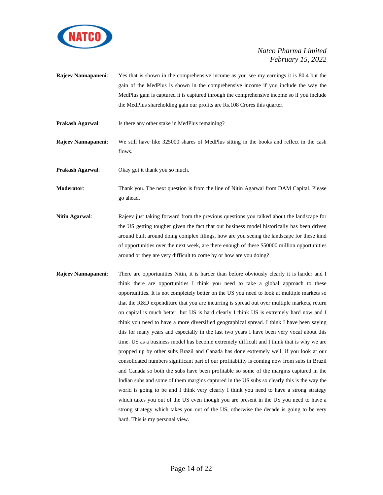

- **Rajeev Nannapaneni**: Yes that is shown in the comprehensive income as you see my earnings it is 80.4 but the gain of the MedPlus is shown in the comprehensive income if you include the way the MedPlus gain is captured it is captured through the comprehensive income so if you include the MedPlus shareholding gain our profits are Rs.108 Crores this quarter.
- **Prakash Agarwal**: Is there any other stake in MedPlus remaining?
- **Rajeev Nannapaneni**: We still have like 325000 shares of MedPlus sitting in the books and reflect in the cash flows.
- **Prakash Agarwal:** Okay got it thank you so much.

**Moderator**: Thank you. The next question is from the line of Nitin Agarwal from DAM Capital. Please go ahead.

- **Nitin Agarwal**: Rajeev just taking forward from the previous questions you talked about the landscape for the US getting tougher given the fact that our business model historically has been driven around built around doing complex filings, how are you seeing the landscape for these kind of opportunities over the next week, are there enough of these \$50000 million opportunities around or they are very difficult to come by or how are you doing?
- **Rajeev Nannapaneni**: There are opportunities Nitin, it is harder than before obviously clearly it is harder and I think there are opportunities I think you need to take a global approach to these opportunities. It is not completely better on the US you need to look at multiple markets so that the R&D expenditure that you are incurring is spread out over multiple markets, return on capital is much better, but US is hard clearly I think US is extremely hard now and I think you need to have a more diversified geographical spread. I think I have been saying this for many years and especially in the last two years I have been very vocal about this time. US as a business model has become extremely difficult and I think that is why we are propped up by other subs Brazil and Canada has done extremely well, if you look at our consolidated numbers significant part of our profitability is coming now from subs in Brazil and Canada so both the subs have been profitable so some of the margins captured in the Indian subs and some of them margins captured in the US subs so clearly this is the way the world is going to be and I think very clearly I think you need to have a strong strategy which takes you out of the US even though you are present in the US you need to have a strong strategy which takes you out of the US, otherwise the decade is going to be very hard. This is my personal view.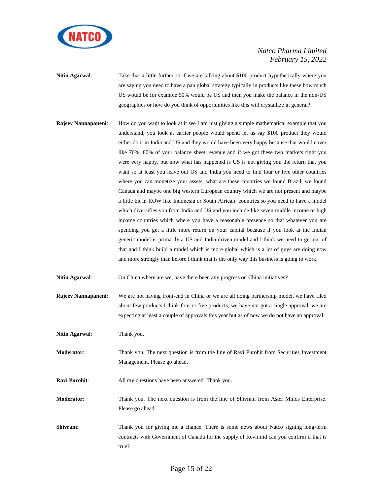

**Nitin Agarwal:** Take that a little further so if we are talking about \$100 product hypothetically where you are saying you need to have a pan global strategy typically in products like these how much US would be for example 50% would be US and then you make the balance in the non-US geographies or how do you think of opportunities like this will crystallize in general?

**Rajeev Nannapaneni:** How do you want to look at it see I am just giving a simple mathematical example that you understand, you look at earlier people would spend let us say \$100 product they would either do it in India and US and they would have been very happy because that would cover like 70%, 80% of your balance sheet revenue and if we got these two markets right you were very happy, but now what has happened is US is not giving you the return that you want so at least you leave out US and India you need to find four or five other countries where you can monetize your assets, what are these countries we found Brazil, we found Canada and maybe one big western European country which we are not present and maybe a little bit in ROW like Indonesia or South African countries so you need to have a model which diversifies you from India and US and you include like seven middle income or high income countries which where you have a reasonable presence so that whatever you are spending you get a little more return on your capital because if you look at the Indian generic model is primarily a US and India driven model and I think we need to get out of that and I think build a model which is more global which is a lot of guys are doing now and more strongly than before I think that is the only way this business is going to work.

**Nitin Agarwal**: On China where are we, have there been any progress on China initiatives?

**Rajeev Nannapaneni**: We are not having front-end in China or we are all doing partnership model, we have filed about few products I think four or five products, we have not got a single approval, we are expecting at least a couple of approvals this year but as of now we do not have an approval.

**Nitin Agarwal:** Thank you.

**Moderator**: Thank you. The next question is from the line of Ravi Purohit from Securities Investment Management. Please go ahead.

**Ravi Purohit:** All my questions have been answered. Thank you.

**Moderator**: Thank you. The next question is from the line of Shivram from Aster Minds Enterprise. Please go ahead.

**Shivram:** Thank you for giving me a chance. There is some news about Natco signing long-term contracts with Government of Canada for the supply of Revlimid can you confirm if that is true?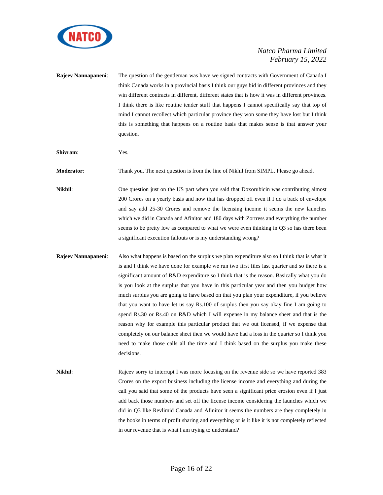

| Rajeev Nannapaneni: | The question of the gentleman was have we signed contracts with Government of Canada I<br>think Canada works in a provincial basis I think our guys bid in different provinces and they<br>win different contracts in different, different states that is how it was in different provinces.<br>I think there is like routine tender stuff that happens I cannot specifically say that top of<br>mind I cannot recollect which particular province they won some they have lost but I think<br>this is something that happens on a routine basis that makes sense is that answer your<br>question.                                                                                                                                                                                                                                                                                                                                                                         |
|---------------------|----------------------------------------------------------------------------------------------------------------------------------------------------------------------------------------------------------------------------------------------------------------------------------------------------------------------------------------------------------------------------------------------------------------------------------------------------------------------------------------------------------------------------------------------------------------------------------------------------------------------------------------------------------------------------------------------------------------------------------------------------------------------------------------------------------------------------------------------------------------------------------------------------------------------------------------------------------------------------|
| Shivram:            | Yes.                                                                                                                                                                                                                                                                                                                                                                                                                                                                                                                                                                                                                                                                                                                                                                                                                                                                                                                                                                       |
| Moderator:          | Thank you. The next question is from the line of Nikhil from SIMPL. Please go ahead.                                                                                                                                                                                                                                                                                                                                                                                                                                                                                                                                                                                                                                                                                                                                                                                                                                                                                       |
| Nikhil:             | One question just on the US part when you said that Doxorubicin was contributing almost<br>200 Crores on a yearly basis and now that has dropped off even if I do a back of envelope<br>and say add 25-30 Crores and remove the licensing income it seems the new launches<br>which we did in Canada and Afinitor and 180 days with Zortress and everything the number<br>seems to be pretty low as compared to what we were even thinking in Q3 so has there been<br>a significant execution fallouts or is my understanding wrong?                                                                                                                                                                                                                                                                                                                                                                                                                                       |
| Rajeev Nannapaneni: | Also what happens is based on the surplus we plan expenditure also so I think that is what it<br>is and I think we have done for example we run two first files last quarter and so there is a<br>significant amount of R&D expenditure so I think that is the reason. Basically what you do<br>is you look at the surplus that you have in this particular year and then you budget how<br>much surplus you are going to have based on that you plan your expenditure, if you believe<br>that you want to have let us say Rs.100 of surplus then you say okay fine I am going to<br>spend Rs.30 or Rs.40 on R&D which I will expense in my balance sheet and that is the<br>reason why for example this particular product that we out licensed, if we expense that<br>completely on our balance sheet then we would have had a loss in the quarter so I think you<br>need to make those calls all the time and I think based on the surplus you make these<br>decisions. |

Nikhil: Rajeev sorry to interrupt I was more focusing on the revenue side so we have reported 383 Crores on the export business including the license income and everything and during the call you said that some of the products have seen a significant price erosion even if I just add back those numbers and set off the license income considering the launches which we did in Q3 like Revlimid Canada and Afinitor it seems the numbers are they completely in the books in terms of profit sharing and everything or is it like it is not completely reflected in our revenue that is what I am trying to understand?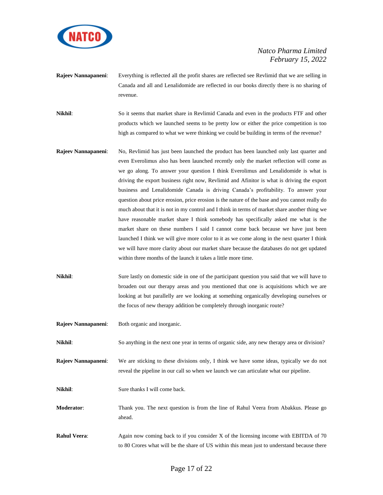

**Rajeev Nannapaneni**: Everything is reflected all the profit shares are reflected see Revlimid that we are selling in Canada and all and Lenalidomide are reflected in our books directly there is no sharing of revenue.

**Nikhil**: So it seems that market share in Revlimid Canada and even in the products FTF and other products which we launched seems to be pretty low or either the price competition is too high as compared to what we were thinking we could be building in terms of the revenue?

- **Rajeev Nannapaneni**: No, Revlimid has just been launched the product has been launched only last quarter and even Everolimus also has been launched recently only the market reflection will come as we go along. To answer your question I think Everolimus and Lenalidomide is what is driving the export business right now, Revlimid and Afinitor is what is driving the export business and Lenalidomide Canada is driving Canada's profitability. To answer your question about price erosion, price erosion is the nature of the base and you cannot really do much about that it is not in my control and I think in terms of market share another thing we have reasonable market share I think somebody has specifically asked me what is the market share on these numbers I said I cannot come back because we have just been launched I think we will give more color to it as we come along in the next quarter I think we will have more clarity about our market share because the databases do not get updated within three months of the launch it takes a little more time.
- **Nikhil**: Sure lastly on domestic side in one of the participant question you said that we will have to broaden out our therapy areas and you mentioned that one is acquisitions which we are looking at but parallelly are we looking at something organically developing ourselves or the focus of new therapy addition be completely through inorganic route?
- **Rajeev Nannapaneni**: Both organic and inorganic.

**Nikhil**: So anything in the next one year in terms of organic side, any new therapy area or division?

- **Rajeev Nannapaneni**: We are sticking to these divisions only, I think we have some ideas, typically we do not reveal the pipeline in our call so when we launch we can articulate what our pipeline.
- **Nikhil**: Sure thanks I will come back.
- **Moderator**: Thank you. The next question is from the line of Rahul Veera from Abakkus. Please go ahead.
- **Rahul Veera:** Again now coming back to if you consider X of the licensing income with EBITDA of 70 to 80 Crores what will be the share of US within this mean just to understand because there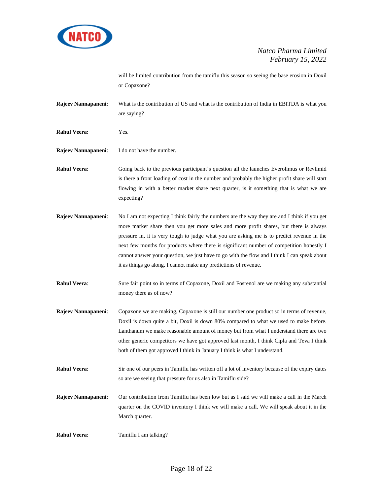

will be limited contribution from the tamiflu this season so seeing the base erosion in Doxil or Copaxone?

**Rajeev Nannapaneni**: What is the contribution of US and what is the contribution of India in EBITDA is what you are saying?

**Rahul Veera:** Yes.

**Rajeev Nannapaneni**: I do not have the number.

**Rahul Veera**: Going back to the previous participant's question all the launches Everolimus or Revlimid is there a front loading of cost in the number and probably the higher profit share will start flowing in with a better market share next quarter, is it something that is what we are expecting?

**Rajeev Nannapaneni**: No I am not expecting I think fairly the numbers are the way they are and I think if you get more market share then you get more sales and more profit shares, but there is always pressure in, it is very tough to judge what you are asking me is to predict revenue in the next few months for products where there is significant number of competition honestly I cannot answer your question, we just have to go with the flow and I think I can speak about it as things go along. I cannot make any predictions of revenue.

**Rahul Veera:** Sure fair point so in terms of Copaxone, Doxil and Fosrenol are we making any substantial money there as of now?

- **Rajeev Nannapaneni**: Copaxone we are making, Copaxone is still our number one product so in terms of revenue, Doxil is down quite a bit, Doxil is down 80% compared to what we used to make before. Lanthanum we make reasonable amount of money but from what I understand there are two other generic competitors we have got approved last month, I think Cipla and Teva I think both of them got approved I think in January I think is what I understand.
- **Rahul Veera:** Sir one of our peers in Tamiflu has written off a lot of inventory because of the expiry dates so are we seeing that pressure for us also in Tamiflu side?
- **Rajeev Nannapaneni**: Our contribution from Tamiflu has been low but as I said we will make a call in the March quarter on the COVID inventory I think we will make a call. We will speak about it in the March quarter.
- **Rahul Veera:** Tamiflu I am talking?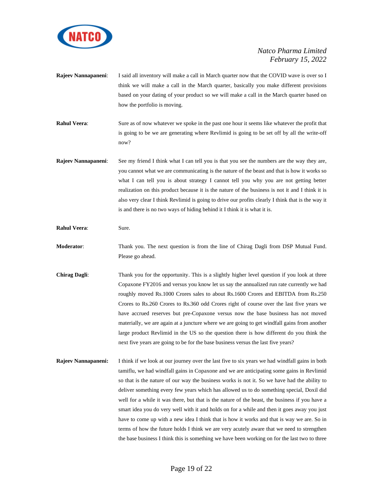

- **Rajeev Nannapaneni**: I said all inventory will make a call in March quarter now that the COVID wave is over so I think we will make a call in the March quarter, basically you make different provisions based on your dating of your product so we will make a call in the March quarter based on how the portfolio is moving.
- **Rahul Veera:** Sure as of now whatever we spoke in the past one hour it seems like whatever the profit that is going to be we are generating where Revlimid is going to be set off by all the write-off now?
- **Rajeev Nannapaneni**: See my friend I think what I can tell you is that you see the numbers are the way they are, you cannot what we are communicating is the nature of the beast and that is how it works so what I can tell you is about strategy I cannot tell you why you are not getting better realization on this product because it is the nature of the business is not it and I think it is also very clear I think Revlimid is going to drive our profits clearly I think that is the way it is and there is no two ways of hiding behind it I think it is what it is.
- **Rahul Veera:** Sure.
- **Moderator**: Thank you. The next question is from the line of Chirag Dagli from DSP Mutual Fund. Please go ahead.
- **Chirag Dagli:** Thank you for the opportunity. This is a slightly higher level question if you look at three Copaxone FY2016 and versus you know let us say the annualized run rate currently we had roughly moved Rs.1000 Crores sales to about Rs.1600 Crores and EBITDA from Rs.250 Crores to Rs.260 Crores to Rs.360 odd Crores right of course over the last five years we have accrued reserves but pre-Copaxone versus now the base business has not moved materially, we are again at a juncture where we are going to get windfall gains from another large product Revlimid in the US so the question there is how different do you think the next five years are going to be for the base business versus the last five years?
- **Rajeev Nannapaneni:** I think if we look at our journey over the last five to six years we had windfall gains in both tamiflu, we had windfall gains in Copaxone and we are anticipating some gains in Revlimid so that is the nature of our way the business works is not it. So we have had the ability to deliver something every few years which has allowed us to do something special, Doxil did well for a while it was there, but that is the nature of the beast, the business if you have a smart idea you do very well with it and holds on for a while and then it goes away you just have to come up with a new idea I think that is how it works and that is way we are. So in terms of how the future holds I think we are very acutely aware that we need to strengthen the base business I think this is something we have been working on for the last two to three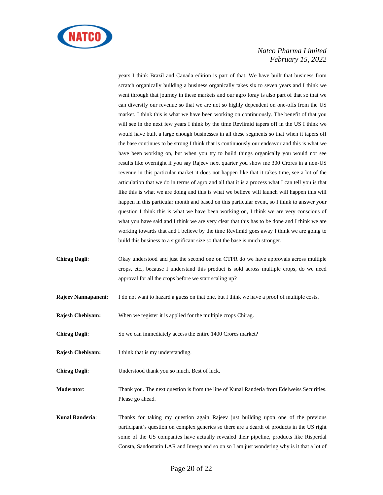

years I think Brazil and Canada edition is part of that. We have built that business from scratch organically building a business organically takes six to seven years and I think we went through that journey in these markets and our agro foray is also part of that so that we can diversify our revenue so that we are not so highly dependent on one-offs from the US market. I think this is what we have been working on continuously. The benefit of that you will see in the next few years I think by the time Revlimid tapers off in the US I think we would have built a large enough businesses in all these segments so that when it tapers off the base continues to be strong I think that is continuously our endeavor and this is what we have been working on, but when you try to build things organically you would not see results like overnight if you say Rajeev next quarter you show me 300 Crores in a non-US revenue in this particular market it does not happen like that it takes time, see a lot of the articulation that we do in terms of agro and all that it is a process what I can tell you is that like this is what we are doing and this is what we believe will launch will happen this will happen in this particular month and based on this particular event, so I think to answer your question I think this is what we have been working on, I think we are very conscious of what you have said and I think we are very clear that this has to be done and I think we are working towards that and I believe by the time Revlimid goes away I think we are going to build this business to a significant size so that the base is much stronger.

- **Chirag Dagli**: Okay understood and just the second one on CTPR do we have approvals across multiple crops, etc., because I understand this product is sold across multiple crops, do we need approval for all the crops before we start scaling up?
- **Rajeev Nannapaneni**: I do not want to hazard a guess on that one, but I think we have a proof of multiple costs.
- **Rajesh Chebiyam:** When we register it is applied for the multiple crops Chirag.
- **Chirag Dagli:** So we can immediately access the entire 1400 Crores market?
- **Rajesh Chebiyam:** I think that is my understanding.
- **Chirag Dagli**: Understood thank you so much. Best of luck.
- **Moderator**: Thank you. The next question is from the line of Kunal Randeria from Edelweiss Securities. Please go ahead.
- **Kunal Randeria**: Thanks for taking my question again Rajeev just building upon one of the previous participant's question on complex generics so there are a dearth of products in the US right some of the US companies have actually revealed their pipeline, products like Risperdal Consta, Sandostatin LAR and Invega and so on so I am just wondering why is it that a lot of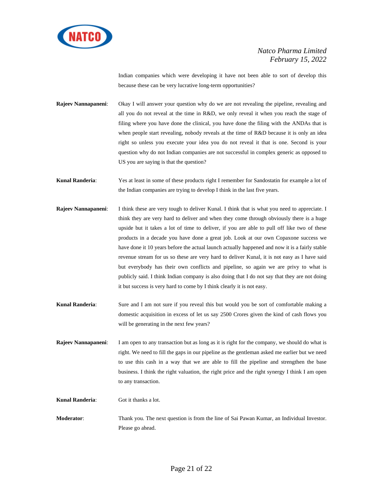

Indian companies which were developing it have not been able to sort of develop this because these can be very lucrative long-term opportunities?

**Rajeev Nannapaneni:** Okay I will answer your question why do we are not revealing the pipeline, revealing and all you do not reveal at the time in R&D, we only reveal it when you reach the stage of filing where you have done the clinical, you have done the filing with the ANDAs that is when people start revealing, nobody reveals at the time of R&D because it is only an idea right so unless you execute your idea you do not reveal it that is one. Second is your question why do not Indian companies are not successful in complex generic as opposed to US you are saying is that the question?

**Kunal Randeria**: Yes at least in some of these products right I remember for Sandostatin for example a lot of the Indian companies are trying to develop I think in the last five years.

- **Rajeev Nannapaneni:** I think these are very tough to deliver Kunal. I think that is what you need to appreciate. I think they are very hard to deliver and when they come through obviously there is a huge upside but it takes a lot of time to deliver, if you are able to pull off like two of these products in a decade you have done a great job. Look at our own Copaxone success we have done it 10 years before the actual launch actually happened and now it is a fairly stable revenue stream for us so these are very hard to deliver Kunal, it is not easy as I have said but everybody has their own conflicts and pipeline, so again we are privy to what is publicly said. I think Indian company is also doing that I do not say that they are not doing it but success is very hard to come by I think clearly it is not easy.
- **Kunal Randeria**: Sure and I am not sure if you reveal this but would you be sort of comfortable making a domestic acquisition in excess of let us say 2500 Crores given the kind of cash flows you will be generating in the next few years?

**Rajeev Nannapaneni**: I am open to any transaction but as long as it is right for the company, we should do what is right. We need to fill the gaps in our pipeline as the gentleman asked me earlier but we need to use this cash in a way that we are able to fill the pipeline and strengthen the base business. I think the right valuation, the right price and the right synergy I think I am open to any transaction.

**Kunal Randeria**: Got it thanks a lot.

**Moderator**: Thank you. The next question is from the line of Sai Pawan Kumar, an Individual Investor. Please go ahead.